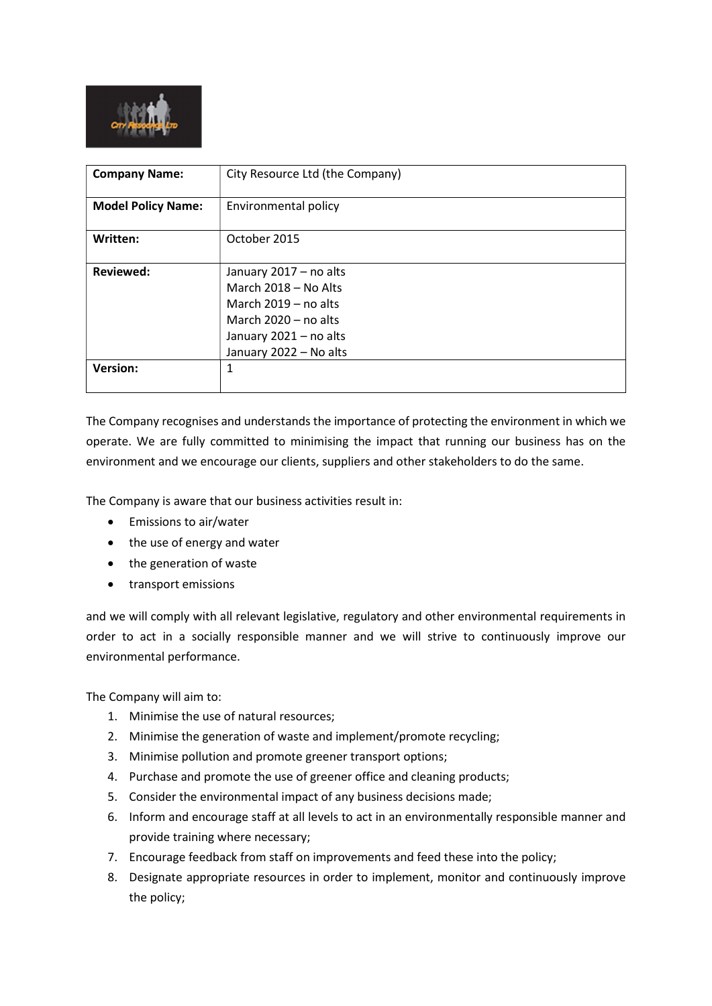

| <b>Company Name:</b>      | City Resource Ltd (the Company)                                                                                                                        |
|---------------------------|--------------------------------------------------------------------------------------------------------------------------------------------------------|
| <b>Model Policy Name:</b> | Environmental policy                                                                                                                                   |
| Written:                  | October 2015                                                                                                                                           |
| <b>Reviewed:</b>          | January 2017 - no alts<br>March 2018 - No Alts<br>March $2019 - no$ alts<br>March $2020 - no$ alts<br>January 2021 - no alts<br>January 2022 - No alts |
| <b>Version:</b>           | 1                                                                                                                                                      |

The Company recognises and understands the importance of protecting the environment in which we operate. We are fully committed to minimising the impact that running our business has on the environment and we encourage our clients, suppliers and other stakeholders to do the same.

The Company is aware that our business activities result in:

- Emissions to air/water
- the use of energy and water
- the generation of waste
- transport emissions

and we will comply with all relevant legislative, regulatory and other environmental requirements in order to act in a socially responsible manner and we will strive to continuously improve our environmental performance.

The Company will aim to:

- 1. Minimise the use of natural resources;
- 2. Minimise the generation of waste and implement/promote recycling;
- 3. Minimise pollution and promote greener transport options;
- 4. Purchase and promote the use of greener office and cleaning products;
- 5. Consider the environmental impact of any business decisions made;
- 6. Inform and encourage staff at all levels to act in an environmentally responsible manner and provide training where necessary;
- 7. Encourage feedback from staff on improvements and feed these into the policy;
- 8. Designate appropriate resources in order to implement, monitor and continuously improve the policy;